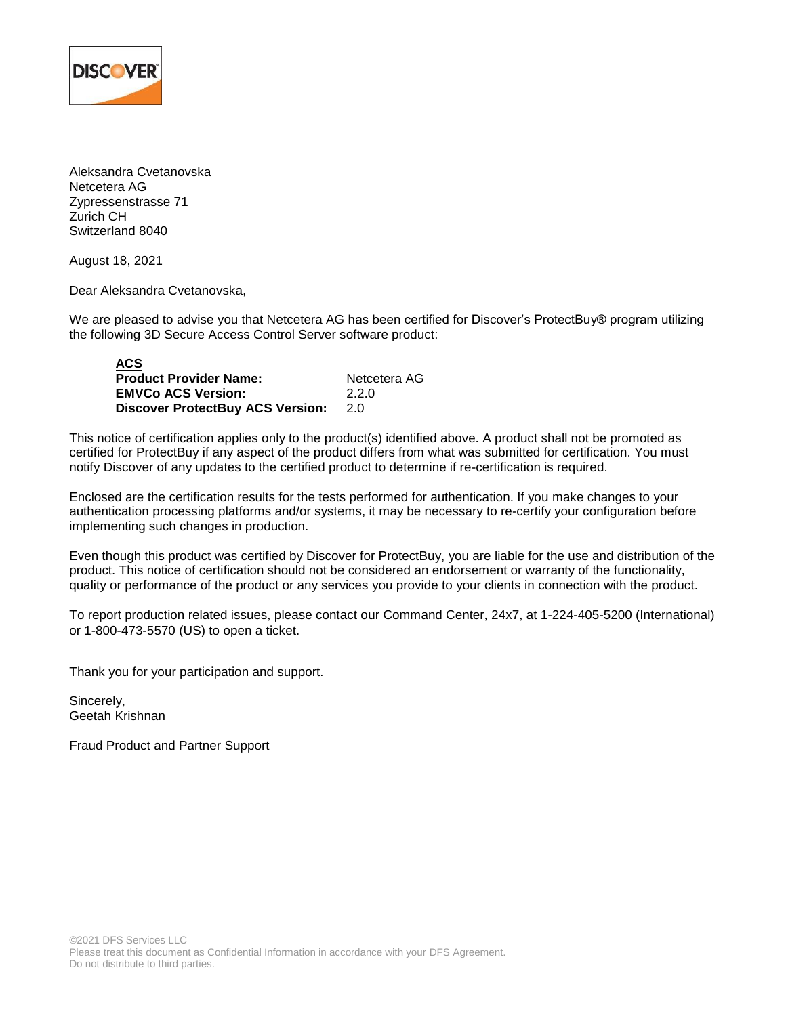

Aleksandra Cvetanovska Netcetera AG Zypressenstrasse 71 Zurich CH Switzerland 8040

August 18, 2021

Dear Aleksandra Cvetanovska,

We are pleased to advise you that Netcetera AG has been certified for Discover's ProtectBuy® program utilizing the following 3D Secure Access Control Server software product:

| <b>ACS</b>                              |              |
|-----------------------------------------|--------------|
| <b>Product Provider Name:</b>           | Netcetera AG |
| <b>EMVCo ACS Version:</b>               | 2.2.0        |
| <b>Discover ProtectBuy ACS Version:</b> | 2.0          |

This notice of certification applies only to the product(s) identified above. A product shall not be promoted as certified for ProtectBuy if any aspect of the product differs from what was submitted for certification. You must notify Discover of any updates to the certified product to determine if re-certification is required.

Enclosed are the certification results for the tests performed for authentication. If you make changes to your authentication processing platforms and/or systems, it may be necessary to re-certify your configuration before implementing such changes in production.

Even though this product was certified by Discover for ProtectBuy, you are liable for the use and distribution of the product. This notice of certification should not be considered an endorsement or warranty of the functionality, quality or performance of the product or any services you provide to your clients in connection with the product.

To report production related issues, please contact our Command Center, 24x7, at 1-224-405-5200 (International) or 1-800-473-5570 (US) to open a ticket.

Thank you for your participation and support.

Sincerely, Geetah Krishnan

Fraud Product and Partner Support